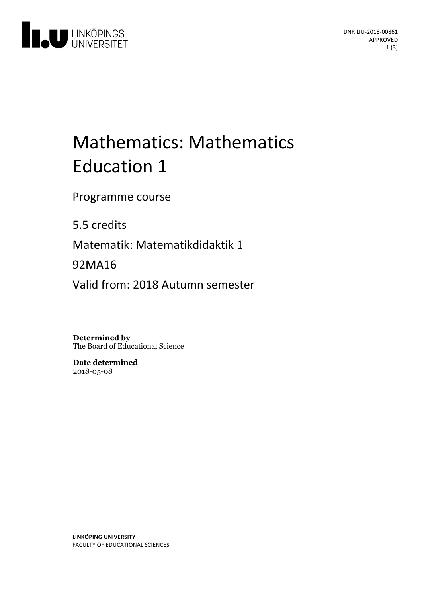

# Mathematics: Mathematics Education 1

Programme course

5.5 credits

Matematik: Matematikdidaktik 1

92MA16

Valid from: 2018 Autumn semester

**Determined by** The Board of Educational Science

**Date determined** 2018-05-08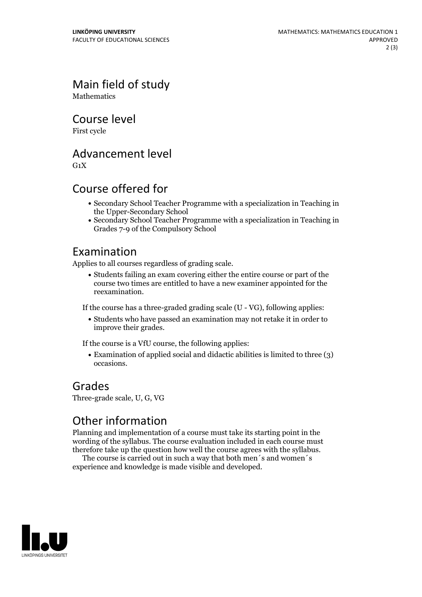Main field of study **Mathematics** 

Course level

First cycle

Advancement level

 $G_1X$ 

### Course offered for

- Secondary School Teacher Programme with a specialization in Teaching in the Upper-Secondary School
- Secondary School Teacher Programme with a specialization in Teaching in Grades 7-9 of the Compulsory School

#### Examination

Applies to all courses regardless of grading scale.

Students failing an exam covering either the entire course or part of the course two times are entitled to have a new examiner appointed for the reexamination.

If the course has a three-graded grading scale (U - VG), following applies:

Students who have passed an examination may not retake it in order to improve their grades.

If the course is a VfU course, the following applies:

Examination of applied social and didactic abilities is limited to three (3) occasions.

#### Grades

Three-grade scale, U, G, VG

## Other information

Planning and implementation of a course must take its starting point in the wording of the syllabus. The course evaluation included in each course must therefore take up the question how well the course agrees with the syllabus. The course is carried outin such <sup>a</sup> way that both men´s and women´s

experience and knowledge is made visible and developed.